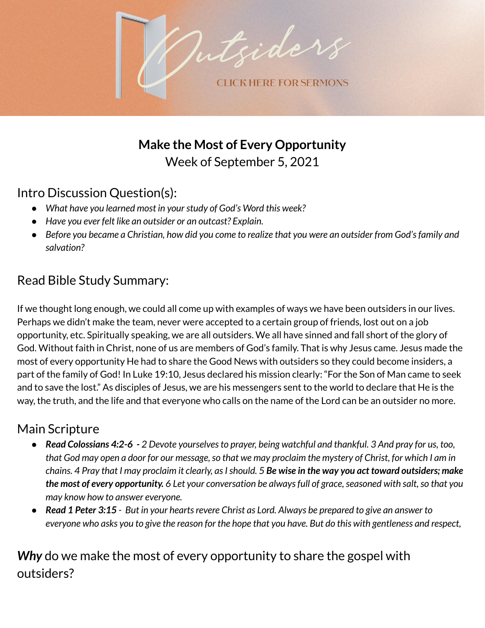

**Make the Most of Every Opportunity** Week of September 5, 2021

# Intro Discussion Question(s):

- *● What have you learned most in yourstudy of God's Word this week?*
- *● Have you ever felt like an outsider or an outcast? Explain.*
- Before you became a Christian, how did you come to realize that you were an outsider from God's family and *salvation?*

# Read Bible Study Summary:

If we thought long enough, we could all come up with examples of ways we have been outsiders in our lives. Perhaps we didn't make the team, never were accepted to a certain group of friends, lost out on a job opportunity, etc. Spiritually speaking, we are all outsiders. We all have sinned and fall short of the glory of God. Without faith in Christ, none of us are members of God's family. That is why Jesus came. Jesus made the most of every opportunity He had to share the Good News with outsiders so they could become insiders, a part of the family of God! In Luke 19:10, Jesus declared his mission clearly: "For the Son of Man came to seek and to save the lost." As disciples of Jesus, we are his messengers sent to the world to declare that He is the way, the truth, and the life and that everyone who calls on the name of the Lord can be an outsider no more.

## Main Scripture

- Read Colossians 4:2-6 2 Devote yourselves to prayer, being watchful and thankful. 3 And pray for us, too, that God may open a door for our message, so that we may proclaim the mystery of Christ, for which I am in chains. 4 Pray that I may proclaim it clearly, as I should. 5 Be wise in the way you act toward outsiders; make the most of every opportunity. 6 Let your conversation be always full of grace, seasoned with salt, so that you *may know how to answer everyone.*
- Read 1 Peter 3:15 But in your hearts revere Christ as Lord. Always be prepared to give an answer to everyone who asks you to give the reason for the hope that you have. But do this with gentleness and respect,

# *Why* do we make the most of every opportunity to share the gospel with outsiders?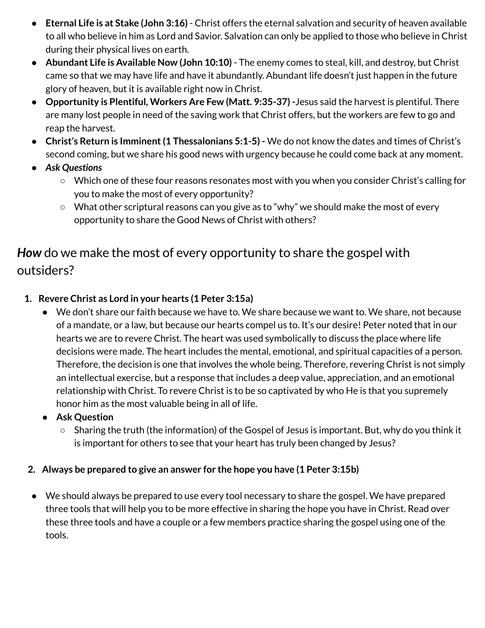- **Eternal Life is at Stake (John 3:16)** Christ offers the eternal salvation and security of heaven available to all who believe in him as Lord and Savior. Salvation can only be applied to those who believe in Christ during their physical lives on earth.
- **Abundant Life is Available Now (John 10:10)** The enemy comes to steal, kill, and destroy, but Christ came so that we may have life and have it abundantly. Abundant life doesn't just happen in the future glory of heaven, but it is available right now in Christ.
- **● Opportunity is Plentiful, Workers Are Few (Matt. 9:35-37) -**Jesus said the harvest is plentiful. There are many lost people in need of the saving work that Christ offers, but the workers are few to go and reap the harvest.
- **● Christ's Return is Imminent(1 Thessalonians 5:1-5) -** We do not know the dates and times of Christ's second coming, but we share his good news with urgency because he could come back at any moment.
- *● Ask Questions*
	- Which one of these four reasons resonates most with you when you consider Christ's calling for you to make the most of every opportunity?
	- What other scriptural reasons can you give as to "why" we should make the most of every opportunity to share the Good News of Christ with others?

# *How* do we make the most of every opportunity to share the gospel with outsiders?

- **1. Revere Christ as Lord in your hearts (1 Peter 3:15a)**
	- We don't share our faith because we have to. We share because we want to. We share, not because of a mandate, or a law, but because our hearts compel us to. It's our desire! Peter noted that in our hearts we are to revere Christ. The heart was used symbolically to discuss the place where life decisions were made. The heart includes the mental, emotional, and spiritual capacities of a person. Therefore, the decision is one that involves the whole being. Therefore, revering Christ is not simply an intellectual exercise, but a response that includes a deep value, appreciation, and an emotional relationship with Christ. To revere Christ is to be so captivated by who He is that you supremely honor him as the most valuable being in all of life.
	- **● Ask Question**
		- **○** Sharing the truth (the information) of the Gospel of Jesus is important. But, why do you think it is important for others to see that your heart has truly been changed by Jesus?

#### **2. Always be prepared to give an answer for the hope you have (1 Peter 3:15b)**

● We should always be prepared to use every tool necessary to share the gospel. We have prepared three tools that will help you to be more effective in sharing the hope you have in Christ. Read over these three tools and have a couple or a few members practice sharing the gospel using one of the tools.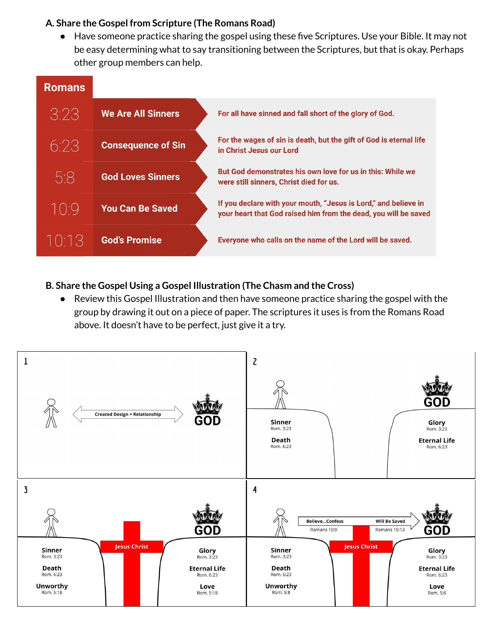#### **A. Share the Gospel from Scripture (The Romans Road)**

● Have someone practice sharing the gospel using these five Scriptures. Use your Bible. It may not be easy determining what to say transitioning between the Scriptures, but that is okay. Perhaps other group members can help.

| <b>Romans</b>                         |                           |                                                                                                                                    |
|---------------------------------------|---------------------------|------------------------------------------------------------------------------------------------------------------------------------|
| 3:23                                  | <b>We Are All Sinners</b> | For all have sinned and fall short of the glory of God.                                                                            |
| 6.23                                  | <b>Consequence of Sin</b> | For the wages of sin is death, but the gift of God is eternal life<br>in Christ Jesus our Lord                                     |
| 5.8                                   | <b>God Loves Sinners</b>  | But God demonstrates his own love for us in this: While we<br>were still sinners, Christ died for us.                              |
| $\vert \; \vert \; \vert \cdot \vert$ | <b>You Can Be Saved</b>   | If you declare with your mouth, "Jesus is Lord," and believe in<br>your heart that God raised him from the dead, you will be saved |
| 1013                                  | <b>God's Promise</b>      | Everyone who calls on the name of the Lord will be saved.                                                                          |

#### **B. Share the Gospel Using a Gospel Illustration (The Chasm and the Cross)**

● Review this Gospel Illustration and then have someone practice sharing the gospel with the group by drawing it out on a piece of paper. The scriptures it uses is from the Romans Road above. It doesn't have to be perfect, just give it a try.